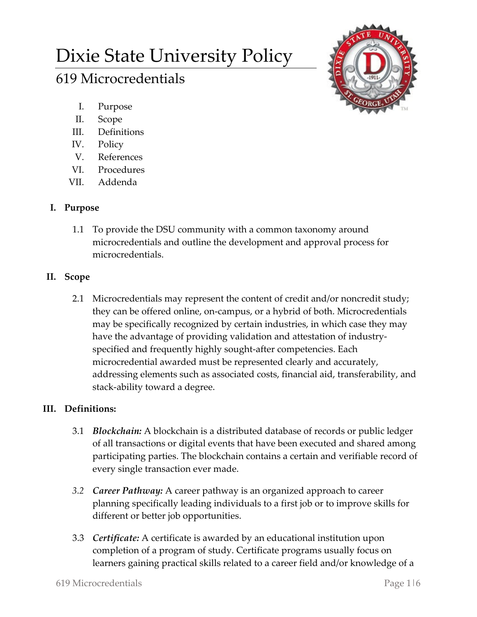# Dixie State University Policy

# 619 Microcredentials



- I. Purpose
- II. Scope
- III. Definitions
- IV. Policy
- V. References
- VI. Procedures
- VII. Addenda

# **I. Purpose**

1.1 To provide the DSU community with a common taxonomy around microcredentials and outline the development and approval process for microcredentials.

### **II. Scope**

2.1 Microcredentials may represent the content of credit and/or noncredit study; they can be offered online, on‐campus, or a hybrid of both. Microcredentials may be specifically recognized by certain industries, in which case they may have the advantage of providing validation and attestation of industry‐ specified and frequently highly sought‐after competencies. Each microcredential awarded must be represented clearly and accurately, addressing elements such as associated costs, financial aid, transferability, and stack-ability toward a degree.

# **III. Definitions:**

- 3.1 *Blockchain:* A blockchain is a distributed database of records or public ledger of all transactions or digital events that have been executed and shared among participating parties. The blockchain contains a certain and verifiable record of every single transaction ever made.
- *3.2 Career Pathway:* A career pathway is an organized approach to career planning specifically leading individuals to a first job or to improve skills for different or better job opportunities.
- 3.3 *Certificate:* A certificate is awarded by an educational institution upon completion of a program of study. Certificate programs usually focus on learners gaining practical skills related to a career field and/or knowledge of a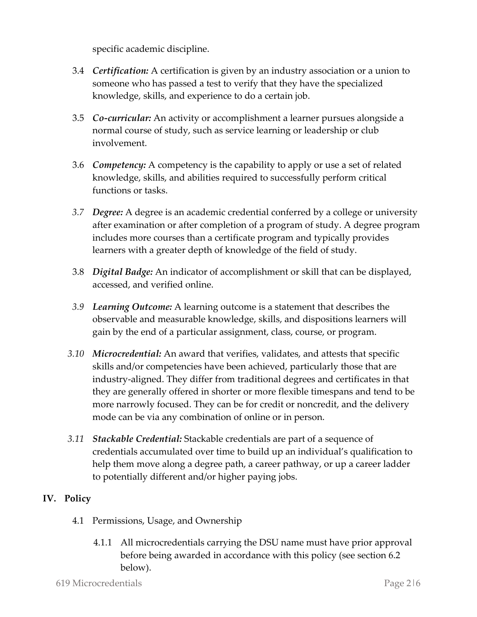specific academic discipline.

- 3.4 *Certification:* A certification is given by an industry association or a union to someone who has passed a test to verify that they have the specialized knowledge, skills, and experience to do a certain job.
- 3.5 *Co-curricular:* An activity or accomplishment a learner pursues alongside a normal course of study, such as service learning or leadership or club involvement.
- 3.6 *Competency:* A competency is the capability to apply or use a set of related knowledge, skills, and abilities required to successfully perform critical functions or tasks.
- *3.7 Degree:* A degree is an academic credential conferred by a college or university after examination or after completion of a program of study. A degree program includes more courses than a certificate program and typically provides learners with a greater depth of knowledge of the field of study.
- 3.8 *Digital Badge:* An indicator of accomplishment or skill that can be displayed, accessed, and verified online.
- *3.9 Learning Outcome:* A learning outcome is a statement that describes the observable and measurable knowledge, skills, and dispositions learners will gain by the end of a particular assignment, class, course, or program.
- *3.10 Microcredential:* An award that verifies, validates, and attests that specific skills and/or competencies have been achieved, particularly those that are industry-aligned. They differ from traditional degrees and certificates in that they are generally offered in shorter or more flexible timespans and tend to be more narrowly focused. They can be for credit or noncredit, and the delivery mode can be via any combination of online or in person.
- *3.11 Stackable Credential:* Stackable credentials are part of a sequence of credentials accumulated over time to build up an individual's qualification to help them move along a degree path, a career pathway, or up a career ladder to potentially different and/or higher paying jobs.

#### **IV. Policy**

- 4.1 Permissions, Usage, and Ownership
	- 4.1.1 All microcredentials carrying the DSU name must have prior approval before being awarded in accordance with this policy (see section 6.2 below).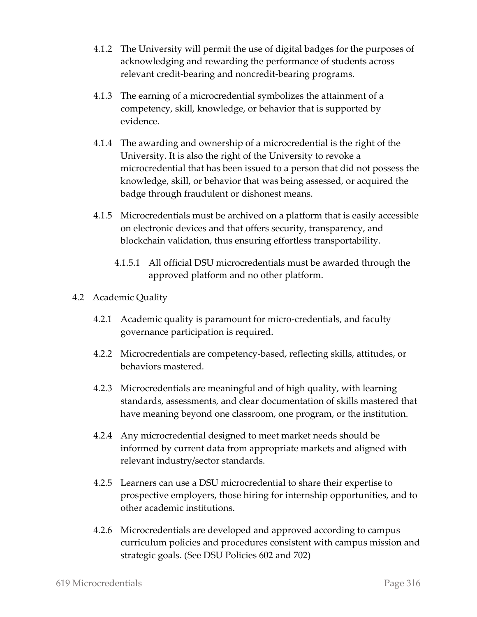- 4.1.2 The University will permit the use of digital badges for the purposes of acknowledging and rewarding the performance of students across relevant credit-bearing and noncredit-bearing programs.
- 4.1.3 The earning of a microcredential symbolizes the attainment of a competency, skill, knowledge, or behavior that is supported by evidence.
- 4.1.4 The awarding and ownership of a microcredential is the right of the University. It is also the right of the University to revoke a microcredential that has been issued to a person that did not possess the knowledge, skill, or behavior that was being assessed, or acquired the badge through fraudulent or dishonest means.
- 4.1.5 Microcredentials must be archived on a platform that is easily accessible on electronic devices and that offers security, transparency, and blockchain validation, thus ensuring effortless transportability.
	- 4.1.5.1 All official DSU microcredentials must be awarded through the approved platform and no other platform.

#### 4.2 Academic Quality

- 4.2.1 Academic quality is paramount for micro-credentials, and faculty governance participation is required.
- 4.2.2 Microcredentials are competency-based, reflecting skills, attitudes, or behaviors mastered.
- 4.2.3 Microcredentials are meaningful and of high quality, with learning standards, assessments, and clear documentation of skills mastered that have meaning beyond one classroom, one program, or the institution.
- 4.2.4 Any microcredential designed to meet market needs should be informed by current data from appropriate markets and aligned with relevant industry/sector standards.
- 4.2.5 Learners can use a DSU microcredential to share their expertise to prospective employers, those hiring for internship opportunities, and to other academic institutions.
- 4.2.6 Microcredentials are developed and approved according to campus curriculum policies and procedures consistent with campus mission and strategic goals. (See DSU Policies 602 and 702)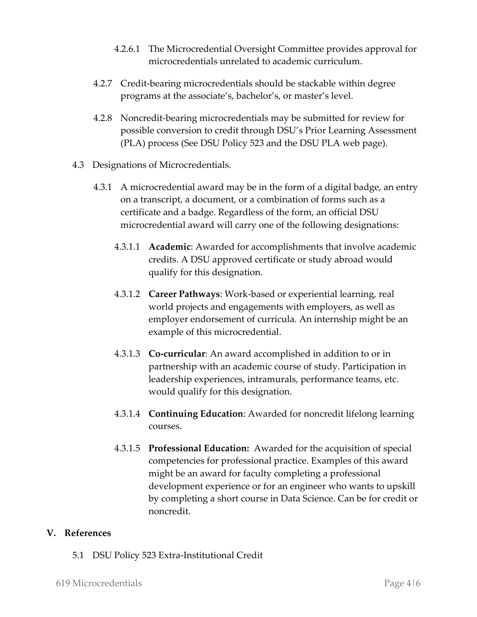- 4.2.6.1 The Microcredential Oversight Committee provides approval for microcredentials unrelated to academic curriculum.
- 4.2.7 Credit-bearing microcredentials should be stackable within degree programs at the associate's, bachelor's, or master's level.
- 4.2.8 Noncredit-bearing microcredentials may be submitted for review for possible conversion to credit through DSU's Prior Learning Assessment (PLA) process (See DSU Policy 523 and the DSU PLA web page).
- 4.3 Designations of Microcredentials.
	- 4.3.1 A microcredential award may be in the form of a digital badge, an entry on a transcript, a document, or a combination of forms such as a certificate and a badge. Regardless of the form, an official DSU microcredential award will carry one of the following designations:
		- 4.3.1.1 **Academic**: Awarded for accomplishments that involve academic credits. A DSU approved certificate or study abroad would qualify for this designation.
		- 4.3.1.2 **Career Pathways**: Work-based or experiential learning, real world projects and engagements with employers, as well as employer endorsement of curricula. An internship might be an example of this microcredential.
		- 4.3.1.3 **Co-curricular**: An award accomplished in addition to or in partnership with an academic course of study. Participation in leadership experiences, intramurals, performance teams, etc. would qualify for this designation.
		- 4.3.1.4 **Continuing Education**: Awarded for noncredit lifelong learning courses.
		- 4.3.1.5 **Professional Education:** Awarded for the acquisition of special competencies for professional practice. Examples of this award might be an award for faculty completing a professional development experience or for an engineer who wants to upskill by completing a short course in Data Science. Can be for credit or noncredit.

#### **V. References**

5.1 DSU Policy 523 Extra-Institutional Credit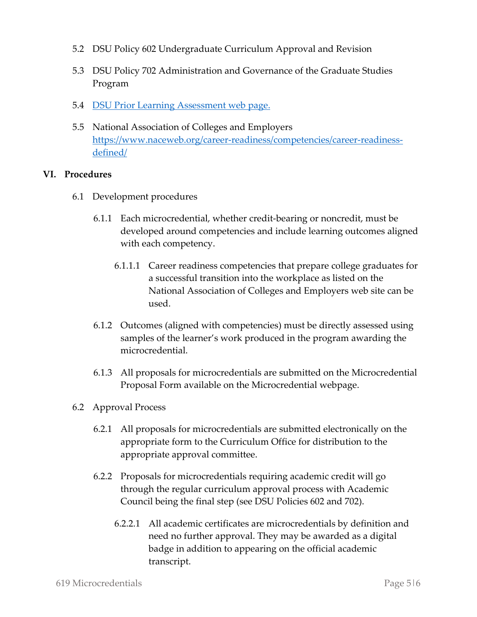- 5.2 DSU Policy 602 Undergraduate Curriculum Approval and Revision
- 5.3 DSU Policy 702 Administration and Governance of the Graduate Studies Program
- 5.4 [DSU Prior Learning Assessment web page.](https://academics.dixie.edu/prior-learning-assessment/)
- 5.5 National Association of Colleges and Employers [https://www.naceweb.org/career-readiness/competencies/career-readiness](https://www.naceweb.org/career-readiness/competencies/career-readiness-defined/)[defined/](https://www.naceweb.org/career-readiness/competencies/career-readiness-defined/)

#### **VI. Procedures**

- 6.1 Development procedures
	- 6.1.1 Each microcredential, whether credit-bearing or noncredit, must be developed around competencies and include learning outcomes aligned with each competency.
		- 6.1.1.1 Career readiness competencies that prepare college graduates for a successful transition into the workplace as listed on the National Association of Colleges and Employers web site can be used.
	- 6.1.2 Outcomes (aligned with competencies) must be directly assessed using samples of the learner's work produced in the program awarding the microcredential.
	- 6.1.3 All proposals for microcredentials are submitted on the Microcredential Proposal Form available on the Microcredential webpage.
- 6.2 Approval Process
	- 6.2.1 All proposals for microcredentials are submitted electronically on the appropriate form to the Curriculum Office for distribution to the appropriate approval committee.
	- 6.2.2 Proposals for microcredentials requiring academic credit will go through the regular curriculum approval process with Academic Council being the final step (see DSU Policies 602 and 702).
		- 6.2.2.1 All academic certificates are microcredentials by definition and need no further approval. They may be awarded as a digital badge in addition to appearing on the official academic transcript.